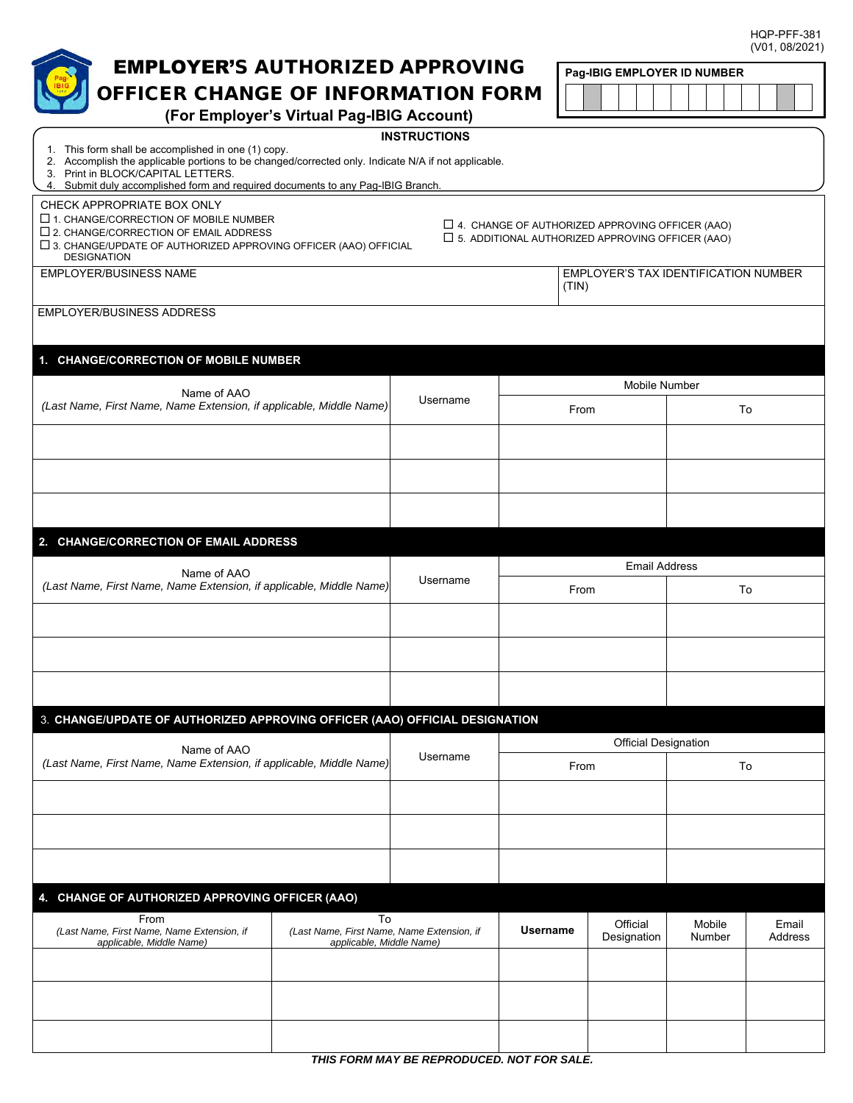HQP-PFF-381

|                                                                                                                                                            | (V01, 08/2021)                                                         |          |                             |                                                                                                                   |                                      |         |  |  |  |  |
|------------------------------------------------------------------------------------------------------------------------------------------------------------|------------------------------------------------------------------------|----------|-----------------------------|-------------------------------------------------------------------------------------------------------------------|--------------------------------------|---------|--|--|--|--|
| <b>EMPLOYER'S AUTHORIZED APPROVING</b>                                                                                                                     |                                                                        |          |                             | Pag-IBIG EMPLOYER ID NUMBER                                                                                       |                                      |         |  |  |  |  |
| OFFICER CHANGE OF INFORMATION FORM                                                                                                                         |                                                                        |          |                             |                                                                                                                   |                                      |         |  |  |  |  |
| (For Employer's Virtual Pag-IBIG Account)                                                                                                                  |                                                                        |          |                             |                                                                                                                   |                                      |         |  |  |  |  |
| <b>INSTRUCTIONS</b>                                                                                                                                        |                                                                        |          |                             |                                                                                                                   |                                      |         |  |  |  |  |
| 1. This form shall be accomplished in one (1) copy.<br>2. Accomplish the applicable portions to be changed/corrected only. Indicate N/A if not applicable. |                                                                        |          |                             |                                                                                                                   |                                      |         |  |  |  |  |
| 3. Print in BLOCK/CAPITAL LETTERS.                                                                                                                         |                                                                        |          |                             |                                                                                                                   |                                      |         |  |  |  |  |
| 4. Submit duly accomplished form and required documents to any Pag-IBIG Branch.                                                                            |                                                                        |          |                             |                                                                                                                   |                                      |         |  |  |  |  |
| CHECK APPROPRIATE BOX ONLY<br>$\Box$ 1. CHANGE/CORRECTION OF MOBILE NUMBER                                                                                 |                                                                        |          |                             |                                                                                                                   |                                      |         |  |  |  |  |
| $\square$ 2. CHANGE/CORRECTION OF EMAIL ADDRESS                                                                                                            |                                                                        |          |                             | $\Box$ 4. CHANGE OF AUTHORIZED APPROVING OFFICER (AAO)<br>$\Box$ 5. ADDITIONAL AUTHORIZED APPROVING OFFICER (AAO) |                                      |         |  |  |  |  |
| $\square$ 3. CHANGE/UPDATE OF AUTHORIZED APPROVING OFFICER (AAO) OFFICIAL<br><b>DESIGNATION</b>                                                            |                                                                        |          |                             |                                                                                                                   |                                      |         |  |  |  |  |
| EMPLOYER/BUSINESS NAME                                                                                                                                     |                                                                        |          |                             |                                                                                                                   | EMPLOYER'S TAX IDENTIFICATION NUMBER |         |  |  |  |  |
|                                                                                                                                                            |                                                                        |          | (TIN)                       |                                                                                                                   |                                      |         |  |  |  |  |
| <b>EMPLOYER/BUSINESS ADDRESS</b>                                                                                                                           |                                                                        |          |                             |                                                                                                                   |                                      |         |  |  |  |  |
|                                                                                                                                                            |                                                                        |          |                             |                                                                                                                   |                                      |         |  |  |  |  |
| 1. CHANGE/CORRECTION OF MOBILE NUMBER                                                                                                                      |                                                                        |          |                             |                                                                                                                   |                                      |         |  |  |  |  |
| Name of AAO                                                                                                                                                |                                                                        |          |                             | <b>Mobile Number</b>                                                                                              |                                      |         |  |  |  |  |
| (Last Name, First Name, Name Extension, if applicable, Middle Name)                                                                                        |                                                                        | Username | From                        |                                                                                                                   | To                                   |         |  |  |  |  |
|                                                                                                                                                            |                                                                        |          |                             |                                                                                                                   |                                      |         |  |  |  |  |
|                                                                                                                                                            |                                                                        |          |                             |                                                                                                                   |                                      |         |  |  |  |  |
|                                                                                                                                                            |                                                                        |          |                             |                                                                                                                   |                                      |         |  |  |  |  |
|                                                                                                                                                            |                                                                        |          |                             |                                                                                                                   |                                      |         |  |  |  |  |
|                                                                                                                                                            |                                                                        |          |                             |                                                                                                                   |                                      |         |  |  |  |  |
| 2. CHANGE/CORRECTION OF EMAIL ADDRESS                                                                                                                      |                                                                        |          |                             |                                                                                                                   |                                      |         |  |  |  |  |
| Name of AAO<br>(Last Name, First Name, Name Extension, if applicable, Middle Name)                                                                         |                                                                        | Username | <b>Email Address</b>        |                                                                                                                   |                                      |         |  |  |  |  |
|                                                                                                                                                            |                                                                        |          | From                        |                                                                                                                   | To                                   |         |  |  |  |  |
|                                                                                                                                                            |                                                                        |          |                             |                                                                                                                   |                                      |         |  |  |  |  |
|                                                                                                                                                            |                                                                        |          |                             |                                                                                                                   |                                      |         |  |  |  |  |
|                                                                                                                                                            |                                                                        |          |                             |                                                                                                                   |                                      |         |  |  |  |  |
|                                                                                                                                                            |                                                                        |          |                             |                                                                                                                   |                                      |         |  |  |  |  |
| 3. CHANGE/UPDATE OF AUTHORIZED APPROVING OFFICER (AAO) OFFICIAL DESIGNATION                                                                                |                                                                        |          |                             |                                                                                                                   |                                      |         |  |  |  |  |
|                                                                                                                                                            |                                                                        |          | <b>Official Designation</b> |                                                                                                                   |                                      |         |  |  |  |  |
| Name of AAO<br>(Last Name, First Name, Name Extension, if applicable, Middle Name)                                                                         |                                                                        | Username | From                        |                                                                                                                   | To                                   |         |  |  |  |  |
|                                                                                                                                                            |                                                                        |          |                             |                                                                                                                   |                                      |         |  |  |  |  |
|                                                                                                                                                            |                                                                        |          |                             |                                                                                                                   |                                      |         |  |  |  |  |
|                                                                                                                                                            |                                                                        |          |                             |                                                                                                                   |                                      |         |  |  |  |  |
|                                                                                                                                                            |                                                                        |          |                             |                                                                                                                   |                                      |         |  |  |  |  |
|                                                                                                                                                            |                                                                        |          |                             |                                                                                                                   |                                      |         |  |  |  |  |
|                                                                                                                                                            |                                                                        |          |                             |                                                                                                                   |                                      |         |  |  |  |  |
| 4. CHANGE OF AUTHORIZED APPROVING OFFICER (AAO)                                                                                                            |                                                                        |          |                             |                                                                                                                   |                                      |         |  |  |  |  |
| From                                                                                                                                                       | To                                                                     |          | <b>Username</b>             | Official                                                                                                          | Mobile                               | Email   |  |  |  |  |
| (Last Name, First Name, Name Extension, if<br>applicable, Middle Name)                                                                                     | (Last Name, First Name, Name Extension, if<br>applicable, Middle Name) |          |                             | Designation                                                                                                       | Number                               | Address |  |  |  |  |
|                                                                                                                                                            |                                                                        |          |                             |                                                                                                                   |                                      |         |  |  |  |  |
|                                                                                                                                                            |                                                                        |          |                             |                                                                                                                   |                                      |         |  |  |  |  |
|                                                                                                                                                            |                                                                        |          |                             |                                                                                                                   |                                      |         |  |  |  |  |